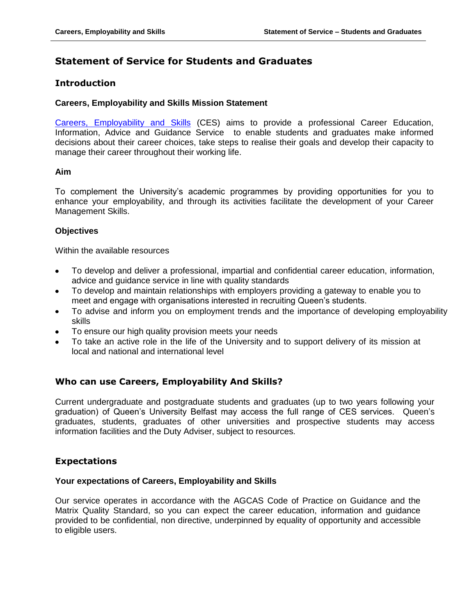# **Statement of Service for Students and Graduates**

# **Introduction**

## **Careers, Employability and Skills Mission Statement**

[Careers, Employability and Skills](http://www.qub.ac.uk/careers) (CES) aims to provide a professional Career Education, Information, Advice and Guidance Service to enable students and graduates make informed decisions about their career choices, take steps to realise their goals and develop their capacity to manage their career throughout their working life.

# **Aim**

To complement the University's academic programmes by providing opportunities for you to enhance your employability, and through its activities facilitate the development of your Career Management Skills.

# **Objectives**

Within the available resources

- To develop and deliver a professional, impartial and confidential career education, information, advice and guidance service in line with quality standards
- To develop and maintain relationships with employers providing a gateway to enable you to meet and engage with organisations interested in recruiting Queen's students.
- To advise and inform you on employment trends and the importance of developing employability skills
- To ensure our high quality provision meets your needs
- To take an active role in the life of the University and to support delivery of its mission at local and national and international level

# **Who can use Careers, Employability And Skills?**

Current undergraduate and postgraduate students and graduates (up to two years following your graduation) of Queen's University Belfast may access the full range of CES services. Queen's graduates, students, graduates of other universities and prospective students may access information facilities and the Duty Adviser, subject to resources.

# **Expectations**

## **Your expectations of Careers, Employability and Skills**

Our service operates in accordance with the AGCAS Code of Practice on Guidance and the Matrix Quality Standard, so you can expect the career education, information and guidance provided to be confidential, non directive, underpinned by equality of opportunity and accessible to eligible users.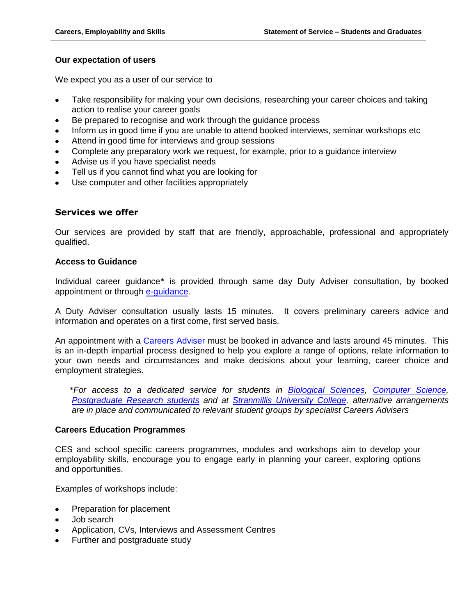## **Our expectation of users**

We expect you as a user of our service to

- Take responsibility for making your own decisions, researching your career choices and taking action to realise your career goals
- Be prepared to recognise and work through the guidance process
- Inform us in good time if you are unable to attend booked interviews, seminar workshops etc
- Attend in good time for interviews and group sessions
- Complete any preparatory work we request, for example, prior to a guidance interview
- Advise us if you have specialist needs
- Tell us if you cannot find what you are looking for
- Use computer and other facilities appropriately

#### **Services we offer**

Our services are provided by staff that are friendly, approachable, professional and appropriately qualified.

#### **Access to Guidance**

Individual career guidance\* is provided through same day Duty Adviser consultation, by booked appointment or through [e-guidance.](http://www.prospectsnet.com/questtime/servlets/GradquestServlet?mode=question&instID=15)

A Duty Adviser consultation usually lasts 15 minutes. It covers preliminary careers advice and information and operates on a first come, first served basis.

An appointment with a [Careers Adviser](http://www.qub.ac.uk/directorates/sgc/careers/AboutUs/WhoswhoinCareersEmployabilityandSkills/) must be booked in advance and lasts around 45 minutes. This is an in-depth impartial process designed to help you explore a range of options, relate information to your own needs and circumstances and make decisions about your learning, career choice and employment strategies.

*\*For access to a dedicated service for students in [Biological Sciences,](http://www.qub.ac.uk/directorates/sgc/careers/filestore/Filetoupload,313912,en.pdf) [Computer Science,](http://www.qub.ac.uk/directorates/sgc/careers/filestore/Filetoupload,313911,en.pdf) Postgraduate [Research students](http://www.qub.ac.uk/directorates/sgc/careers/filestore/Filetoupload,313910,en.pdf) and at [Stranmillis University College,](http://www.qub.ac.uk/directorates/sgc/careers/filestore/Filetoupload,313913,en.pdf) alternative arrangements are in place and communicated to relevant student groups by specialist Careers Advisers*

#### **Careers Education Programmes**

CES and school specific careers programmes, modules and workshops aim to develop your employability skills, encourage you to engage early in planning your career, exploring options and opportunities.

Examples of workshops include:

- Preparation for placement
- Job search
- Application, CVs, Interviews and Assessment Centres
- Further and postgraduate study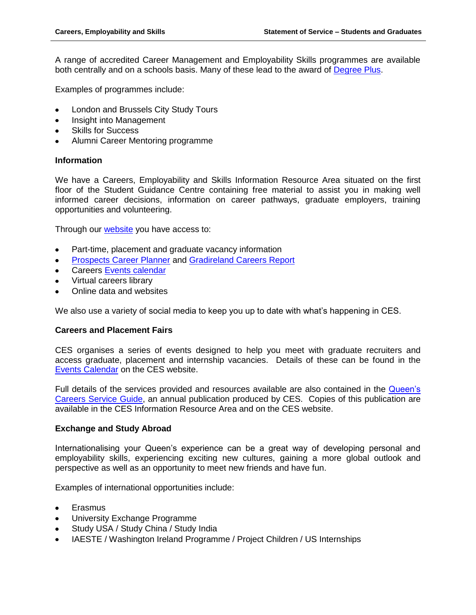A range of accredited Career Management and Employability Skills programmes are available both centrally and on a schools basis. Many of these lead to the award of [Degree Plus.](http://www.qub.ac.uk/degreeplus)

Examples of programmes include:

- London and Brussels City Study Tours
- Insight into Management  $\bullet$
- Skills for Success
- Alumni Career Mentoring programme

## **Information**

We have a Careers, Employability and Skills Information Resource Area situated on the first floor of the Student Guidance Centre containing free material to assist you in making well informed career decisions, information on career pathways, graduate employers, training opportunities and volunteering.

Through our [website](http://www.qub.ac.uk/careers) you have access to:

- Part-time, placement and graduate vacancy information
- [Prospects Career Planner](http://www.prospects.ac.uk/myprospects_planner_login.htm?utm_source=house_ad&utm_medium=banner_ad&utm_campaign=planner_sky) and [Gradireland Careers Report](http://gradireland.com/careers-report)
- Careers [Events calendar](http://www.qub.ac.uk/directorates/sgc/careers/StudentsandGraduates/EventsCalendar/Fairs/)
- Virtual careers library
- Online data and websites

We also use a variety of social media to keep you up to date with what's happening in CES.

## **Careers and Placement Fairs**

CES organises a series of events designed to help you meet with graduate recruiters and access graduate, placement and internship vacancies. Details of these can be found in the [Events Calendar](http://www.qub.ac.uk/directorates/sgc/careers/StudentsandGraduates/EventsCalendar/) on the CES website.

Full details of the services provided and resources available are also contained in the [Queen's](http://viewer.zmags.com/publication/c9e2edeb#/c9e2edeb/1)  [Careers Service Guide,](http://viewer.zmags.com/publication/c9e2edeb#/c9e2edeb/1) an annual publication produced by CES. Copies of this publication are available in the CES Information Resource Area and on the CES website.

## **Exchange and Study Abroad**

Internationalising your Queen's experience can be a great way of developing personal and employability skills, experiencing exciting new cultures, gaining a more global outlook and perspective as well as an opportunity to meet new friends and have fun.

Examples of international opportunities include:

- Erasmus
- University Exchange Programme
- Study USA / Study China / Study India
- IAESTE / Washington Ireland Programme / Project Children / US Internships